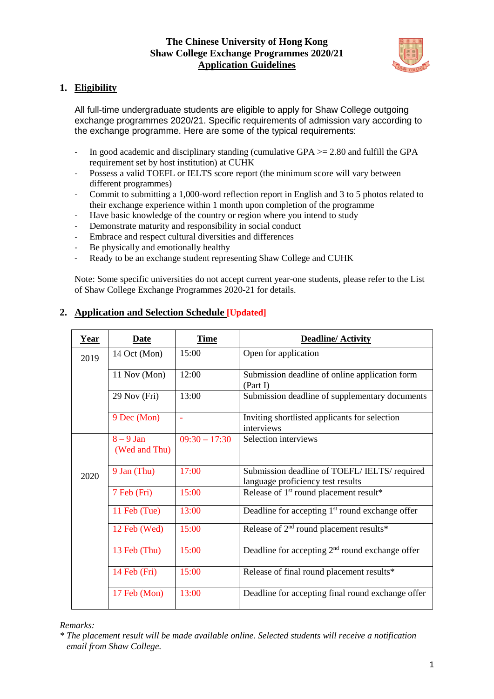

# **1. Eligibility**

All full-time undergraduate students are eligible to apply for Shaw College outgoing exchange programmes 2020/21. Specific requirements of admission vary according to the exchange programme. Here are some of the typical requirements:

- In good academic and disciplinary standing (cumulative GPA >= 2.80 and fulfill the GPA requirement set by host institution) at CUHK
- Possess a valid TOEFL or IELTS score report (the minimum score will vary between different programmes)
- Commit to submitting a 1,000-word reflection report in English and 3 to 5 photos related to their exchange experience within 1 month upon completion of the programme
- Have basic knowledge of the country or region where you intend to study
- Demonstrate maturity and responsibility in social conduct
- Embrace and respect cultural diversities and differences
- Be physically and emotionally healthy
- Ready to be an exchange student representing Shaw College and CUHK

Note: Some specific universities do not accept current year-one students, please refer to the List of Shaw College Exchange Programmes 2020-21 for details.

| <b>Year</b>           | <b>Date</b>                  | <b>Time</b>     | <b>Deadline/Activity</b>                                                         |  |
|-----------------------|------------------------------|-----------------|----------------------------------------------------------------------------------|--|
| 2019                  | 14 Oct (Mon)                 | 15:00           | Open for application                                                             |  |
|                       | 11 Nov (Mon)                 | 12:00           | Submission deadline of online application form<br>(Part I)                       |  |
|                       | 29 Nov (Fri)                 | 13:00           | Submission deadline of supplementary documents                                   |  |
|                       | 9 Dec (Mon)                  |                 | Inviting shortlisted applicants for selection<br>interviews                      |  |
|                       | $8 - 9$ Jan<br>(Wed and Thu) | $09:30 - 17:30$ | Selection interviews                                                             |  |
| 2020                  | 9 Jan (Thu)                  | 17:00           | Submission deadline of TOEFL/IELTS/required<br>language proficiency test results |  |
|                       | 7 Feb (Fri)                  | 15:00           | Release of 1 <sup>st</sup> round placement result*                               |  |
|                       | 11 Feb (Tue)                 | 13:00           | Deadline for accepting $1st$ round exchange offer                                |  |
|                       | 12 Feb (Wed)                 | 15:00           | Release of 2 <sup>nd</sup> round placement results*                              |  |
| 15:00<br>13 Feb (Thu) |                              |                 | Deadline for accepting $2nd$ round exchange offer                                |  |
|                       | 14 Feb (Fri)                 | 15:00           | Release of final round placement results*                                        |  |
|                       | 17 Feb (Mon)                 | 13:00           | Deadline for accepting final round exchange offer                                |  |

# **2. Application and Selection Schedule [Updated]**

#### *Remarks:*

*\* The placement result will be made available online. Selected students will receive a notification email from Shaw College.*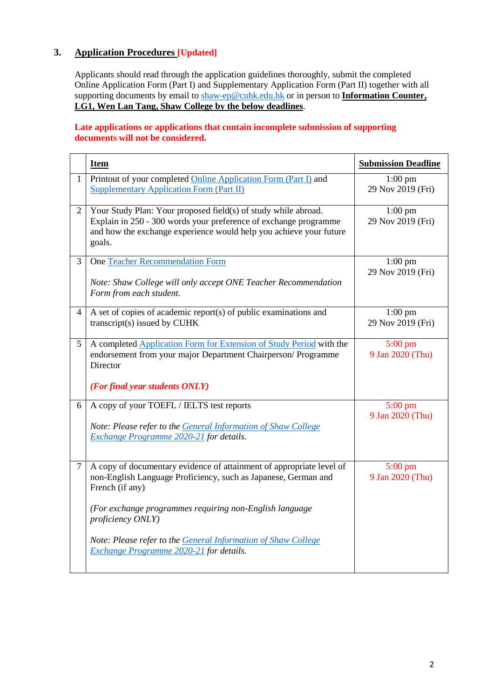# **3. Application Procedures [Updated]**

Applicants should read through the application guidelines thoroughly, submit the completed Online Application Form (Part I) and Supplementary Application Form (Part II) together with all supporting documents by email to [shaw-ep@cuhk.edu.hk](mailto:shaw-ep@cuhk.edu.hk) or in person to **Information Counter**, **LG1, Wen Lan Tang, Shaw College by the below deadlines**.

### **Late applications or applications that contain incomplete submission of supporting documents will not be considered.**

|                | <b>Item</b>                                                                                                                                                                                                                                                                                                                                           | <b>Submission Deadline</b>                        |
|----------------|-------------------------------------------------------------------------------------------------------------------------------------------------------------------------------------------------------------------------------------------------------------------------------------------------------------------------------------------------------|---------------------------------------------------|
| $\mathbf{1}$   | Printout of your completed Online Application Form (Part I) and<br><b>Supplementary Application Form (Part II)</b>                                                                                                                                                                                                                                    | $1:00$ pm<br>29 Nov 2019 (Fri)                    |
| $\overline{2}$ | Your Study Plan: Your proposed field(s) of study while abroad.<br>Explain in 250 - 300 words your preference of exchange programme<br>and how the exchange experience would help you achieve your future<br>goals.                                                                                                                                    | $\overline{1:}00 \text{ pm}$<br>29 Nov 2019 (Fri) |
| 3              | <b>One Teacher Recommendation Form</b><br>Note: Shaw College will only accept ONE Teacher Recommendation<br>Form from each student.                                                                                                                                                                                                                   | $1:00$ pm<br>29 Nov 2019 (Fri)                    |
| $\overline{4}$ | A set of copies of academic report(s) of public examinations and<br>transcript(s) issued by CUHK                                                                                                                                                                                                                                                      | $1:00$ pm<br>29 Nov 2019 (Fri)                    |
| 5              | A completed Application Form for Extension of Study Period with the<br>endorsement from your major Department Chairperson/Programme<br>Director<br>(For final year students ONLY)                                                                                                                                                                     | $5:00 \text{ pm}$<br>9 Jan 2020 (Thu)             |
| 6              | A copy of your TOEFL / IELTS test reports<br>Note: Please refer to the General Information of Shaw College<br>Exchange Programme 2020-21 for details.                                                                                                                                                                                                 | $5:00 \text{ pm}$<br>9 Jan 2020 (Thu)             |
| $\overline{7}$ | A copy of documentary evidence of attainment of appropriate level of<br>non-English Language Proficiency, such as Japanese, German and<br>French (if any)<br>(For exchange programmes requiring non-English language<br>proficiency ONLY)<br>Note: Please refer to the General Information of Shaw College<br>Exchange Programme 2020-21 for details. | $5:00 \text{ pm}$<br>9 Jan 2020 (Thu)             |